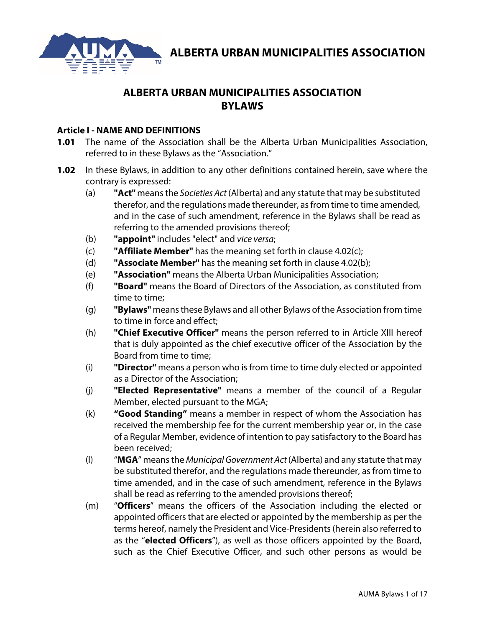

# **ALBERTA URBAN MUNICIPALITIES ASSOCIATION BYLAWS**

### **Article I - NAME AND DEFINITIONS**

- **1.01** The name of the Association shall be the Alberta Urban Municipalities Association, referred to in these Bylaws as the "Association."
- **1.02** In these Bylaws, in addition to any other definitions contained herein, save where the contrary is expressed:
	- (a) **"Act"** means the *Societies Act* (Alberta) and any statute that may be substituted therefor, and the regulations made thereunder, as from time to time amended, and in the case of such amendment, reference in the Bylaws shall be read as referring to the amended provisions thereof;
	- (b) **"appoint"** includes "elect" and *vice versa*;
	- (c) **"Affiliate Member"** has the meaning set forth in clause 4.02(c);
	- (d) **"Associate Member"** has the meaning set forth in clause 4.02(b);
	- (e) **"Association"** means the Alberta Urban Municipalities Association;
	- (f) **"Board"** means the Board of Directors of the Association, as constituted from time to time;
	- (g) **"Bylaws"** means these Bylaws and all other Bylaws of the Association from time to time in force and effect;
	- (h) **"Chief Executive Officer"** means the person referred to in Article XIII hereof that is duly appointed as the chief executive officer of the Association by the Board from time to time;
	- (i) **"Director"** means a person who is from time to time duly elected or appointed as a Director of the Association;
	- (j) **"Elected Representative"** means a member of the council of a Regular Member, elected pursuant to the MGA;
	- (k) **"Good Standing"** means a member in respect of whom the Association has received the membership fee for the current membership year or, in the case of a Regular Member, evidence of intention to pay satisfactory to the Board has been received;
	- (l) "**MGA**" means the *Municipal Government Act* (Alberta) and any statute that may be substituted therefor, and the regulations made thereunder, as from time to time amended, and in the case of such amendment, reference in the Bylaws shall be read as referring to the amended provisions thereof;
	- (m) "**Officers**" means the officers of the Association including the elected or appointed officers that are elected or appointed by the membership as per the terms hereof, namely the President and Vice-Presidents (herein also referred to as the "**elected Officers**"), as well as those officers appointed by the Board, such as the Chief Executive Officer, and such other persons as would be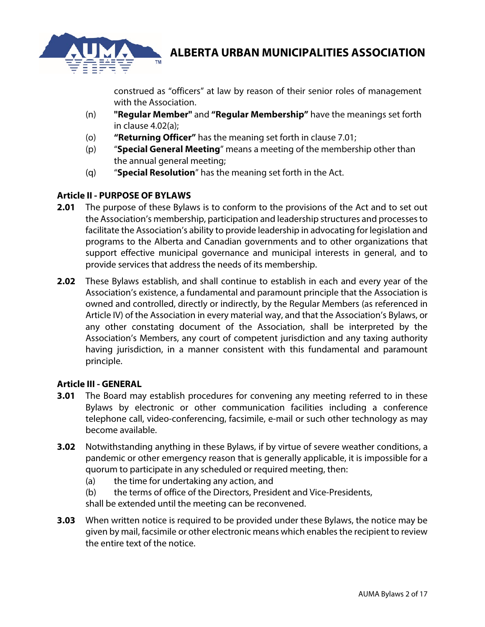

construed as "officers" at law by reason of their senior roles of management with the Association.

- (n) **"Regular Member"** and **"Regular Membership"** have the meanings set forth in clause 4.02(a);
- (o) **"Returning Officer"** has the meaning set forth in clause 7.01;
- (p) "**Special General Meeting**" means a meeting of the membership other than the annual general meeting;
- (q) "**Special Resolution**" has the meaning set forth in the Act.

### **Article II - PURPOSE OF BYLAWS**

- **2.01** The purpose of these Bylaws is to conform to the provisions of the Act and to set out the Association's membership, participation and leadership structures and processes to facilitate the Association's ability to provide leadership in advocating for legislation and programs to the Alberta and Canadian governments and to other organizations that support effective municipal governance and municipal interests in general, and to provide services that address the needs of its membership.
- **2.02** These Bylaws establish, and shall continue to establish in each and every year of the Association's existence, a fundamental and paramount principle that the Association is owned and controlled, directly or indirectly, by the Regular Members (as referenced in Article IV) of the Association in every material way, and that the Association's Bylaws, or any other constating document of the Association, shall be interpreted by the Association's Members, any court of competent jurisdiction and any taxing authority having jurisdiction, in a manner consistent with this fundamental and paramount principle.

### **Article III - GENERAL**

- **3.01** The Board may establish procedures for convening any meeting referred to in these Bylaws by electronic or other communication facilities including a conference telephone call, video-conferencing, facsimile, e-mail or such other technology as may become available.
- **3.02** Notwithstanding anything in these Bylaws, if by virtue of severe weather conditions, a pandemic or other emergency reason that is generally applicable, it is impossible for a quorum to participate in any scheduled or required meeting, then:
	- (a) the time for undertaking any action, and
	- (b) the terms of office of the Directors, President and Vice-Presidents,

shall be extended until the meeting can be reconvened.

**3.03** When written notice is required to be provided under these Bylaws, the notice may be given by mail, facsimile or other electronic means which enables the recipient to review the entire text of the notice.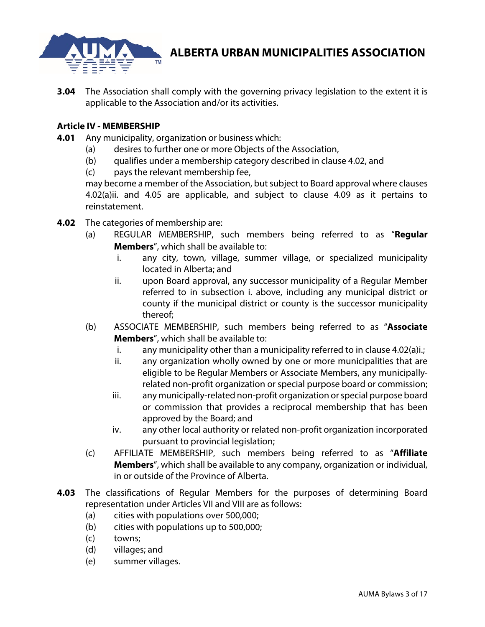

**3.04** The Association shall comply with the governing privacy legislation to the extent it is applicable to the Association and/or its activities.

### **Article IV - MEMBERSHIP**

- **4.01** Any municipality, organization or business which:
	- (a) desires to further one or more Objects of the Association,
	- (b) qualifies under a membership category described in clause 4.02, and
	- (c) pays the relevant membership fee,

may become a member of the Association, but subject to Board approval where clauses 4.02(a)ii. and 4.05 are applicable, and subject to clause 4.09 as it pertains to reinstatement.

- **4.02** The categories of membership are:
	- (a) REGULAR MEMBERSHIP, such members being referred to as "**Regular Members**", which shall be available to:
		- i. any city, town, village, summer village, or specialized municipality located in Alberta; and
		- ii. upon Board approval, any successor municipality of a Regular Member referred to in subsection i. above, including any municipal district or county if the municipal district or county is the successor municipality thereof;
	- (b) ASSOCIATE MEMBERSHIP, such members being referred to as "**Associate Members**", which shall be available to:
		- i. any municipality other than a municipality referred to in clause 4.02(a)i.;
		- ii. any organization wholly owned by one or more municipalities that are eligible to be Regular Members or Associate Members, any municipallyrelated non-profit organization or special purpose board or commission;
		- iii. any municipally-related non-profit organization or special purpose board or commission that provides a reciprocal membership that has been approved by the Board; and
		- iv. any other local authority or related non-profit organization incorporated pursuant to provincial legislation;
	- (c) AFFILIATE MEMBERSHIP, such members being referred to as "**Affiliate Members**", which shall be available to any company, organization or individual, in or outside of the Province of Alberta.
- **4.03** The classifications of Regular Members for the purposes of determining Board representation under Articles VII and VIII are as follows:
	- (a) cities with populations over 500,000;
	- (b) cities with populations up to 500,000;
	- (c) towns;
	- (d) villages; and
	- (e) summer villages.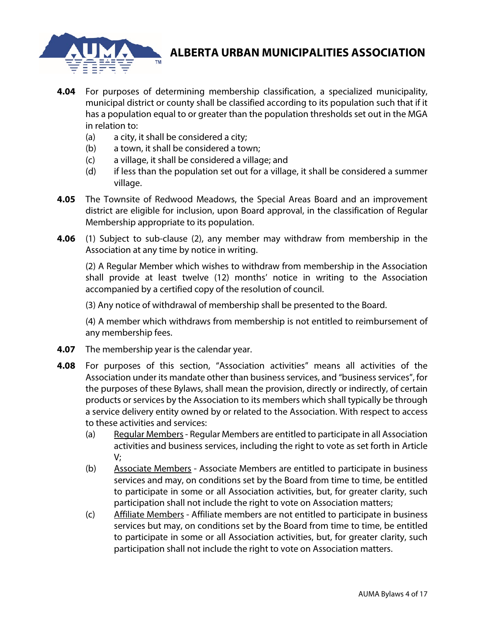

- **4.04** For purposes of determining membership classification, a specialized municipality, municipal district or county shall be classified according to its population such that if it has a population equal to or greater than the population thresholds set out in the MGA in relation to:
	- (a) a city, it shall be considered a city;
	- (b) a town, it shall be considered a town;
	- (c) a village, it shall be considered a village; and
	- (d) if less than the population set out for a village, it shall be considered a summer village.
- **4.05** The Townsite of Redwood Meadows, the Special Areas Board and an improvement district are eligible for inclusion, upon Board approval, in the classification of Regular Membership appropriate to its population.
- **4.06** (1) Subject to sub-clause (2), any member may withdraw from membership in the Association at any time by notice in writing.

(2) A Regular Member which wishes to withdraw from membership in the Association shall provide at least twelve (12) months' notice in writing to the Association accompanied by a certified copy of the resolution of council.

(3) Any notice of withdrawal of membership shall be presented to the Board.

(4) A member which withdraws from membership is not entitled to reimbursement of any membership fees.

- **4.07** The membership year is the calendar year.
- **4.08** For purposes of this section, "Association activities" means all activities of the Association under its mandate other than business services, and "business services", for the purposes of these Bylaws, shall mean the provision, directly or indirectly, of certain products or services by the Association to its members which shall typically be through a service delivery entity owned by or related to the Association. With respect to access to these activities and services:
	- (a) Regular Members- Regular Members are entitled to participate in all Association activities and business services, including the right to vote as set forth in Article V;
	- (b) Associate Members Associate Members are entitled to participate in business services and may, on conditions set by the Board from time to time, be entitled to participate in some or all Association activities, but, for greater clarity, such participation shall not include the right to vote on Association matters;
	- (c) Affiliate Members Affiliate members are not entitled to participate in business services but may, on conditions set by the Board from time to time, be entitled to participate in some or all Association activities, but, for greater clarity, such participation shall not include the right to vote on Association matters.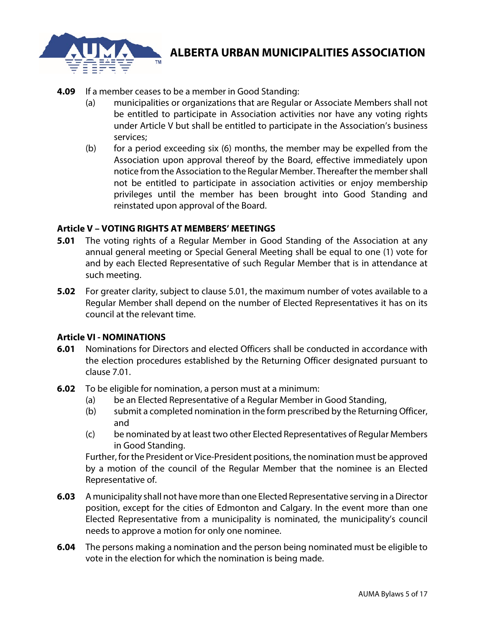

- **4.09** If a member ceases to be a member in Good Standing:
	- (a) municipalities or organizations that are Regular or Associate Members shall not be entitled to participate in Association activities nor have any voting rights under Article V but shall be entitled to participate in the Association's business services;
	- (b) for a period exceeding six (6) months, the member may be expelled from the Association upon approval thereof by the Board, effective immediately upon notice from the Association to the Regular Member. Thereafter the member shall not be entitled to participate in association activities or enjoy membership privileges until the member has been brought into Good Standing and reinstated upon approval of the Board.

### **Article V – VOTING RIGHTS AT MEMBERS' MEETINGS**

- **5.01** The voting rights of a Regular Member in Good Standing of the Association at any annual general meeting or Special General Meeting shall be equal to one (1) vote for and by each Elected Representative of such Regular Member that is in attendance at such meeting.
- **5.02** For greater clarity, subject to clause 5.01, the maximum number of votes available to a Regular Member shall depend on the number of Elected Representatives it has on its council at the relevant time.

### **Article VI - NOMINATIONS**

- **6.01** Nominations for Directors and elected Officers shall be conducted in accordance with the election procedures established by the Returning Officer designated pursuant to clause 7.01.
- **6.02** To be eligible for nomination, a person must at a minimum:
	- (a) be an Elected Representative of a Regular Member in Good Standing,
	- (b) submit a completed nomination in the form prescribed by the Returning Officer, and
	- (c) be nominated by at least two other Elected Representatives of Regular Members in Good Standing.

Further, for the President or Vice-President positions, the nomination must be approved by a motion of the council of the Regular Member that the nominee is an Elected Representative of.

- **6.03** A municipality shall not have more than one Elected Representative serving in a Director position, except for the cities of Edmonton and Calgary. In the event more than one Elected Representative from a municipality is nominated, the municipality's council needs to approve a motion for only one nominee.
- **6.04** The persons making a nomination and the person being nominated must be eligible to vote in the election for which the nomination is being made.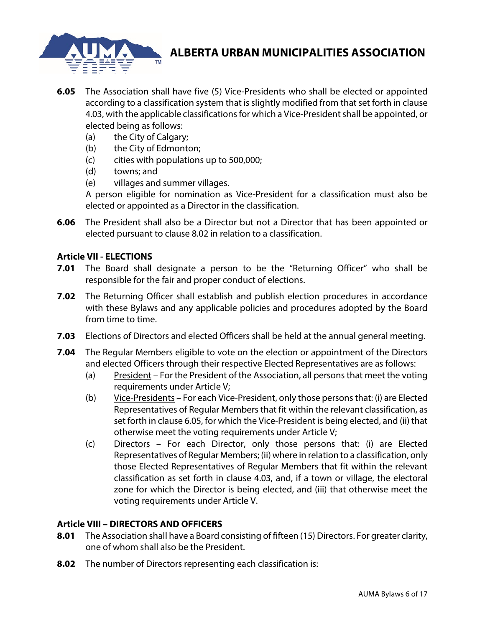

- **6.05** The Association shall have five (5) Vice-Presidents who shall be elected or appointed according to a classification system that is slightly modified from that set forth in clause 4.03, with the applicable classifications for which a Vice-President shall be appointed, or elected being as follows:
	- (a) the City of Calgary;
	- (b) the City of Edmonton;
	- (c) cities with populations up to 500,000;
	- (d) towns; and
	- (e) villages and summer villages.

A person eligible for nomination as Vice-President for a classification must also be elected or appointed as a Director in the classification.

**6.06** The President shall also be a Director but not a Director that has been appointed or elected pursuant to clause 8.02 in relation to a classification.

### **Article VII - ELECTIONS**

- **7.01** The Board shall designate a person to be the "Returning Officer" who shall be responsible for the fair and proper conduct of elections.
- **7.02** The Returning Officer shall establish and publish election procedures in accordance with these Bylaws and any applicable policies and procedures adopted by the Board from time to time.
- **7.03** Elections of Directors and elected Officers shall be held at the annual general meeting.
- **7.04** The Regular Members eligible to vote on the election or appointment of the Directors and elected Officers through their respective Elected Representatives are as follows:
	- (a) President For the President of the Association, all persons that meet the voting requirements under Article V;
	- (b) Vice-Presidents For each Vice-President, only those persons that: (i) are Elected Representatives of Regular Members that fit within the relevant classification, as set forth in clause 6.05, for which the Vice-President is being elected, and (ii) that otherwise meet the voting requirements under Article V;
	- (c) Directors For each Director, only those persons that: (i) are Elected Representatives of Regular Members; (ii) where in relation to a classification, only those Elected Representatives of Regular Members that fit within the relevant classification as set forth in clause 4.03, and, if a town or village, the electoral zone for which the Director is being elected, and (iii) that otherwise meet the voting requirements under Article V.

### **Article VIII – DIRECTORS AND OFFICERS**

- **8.01** The Association shall have a Board consisting of fifteen (15) Directors. For greater clarity, one of whom shall also be the President.
- **8.02** The number of Directors representing each classification is: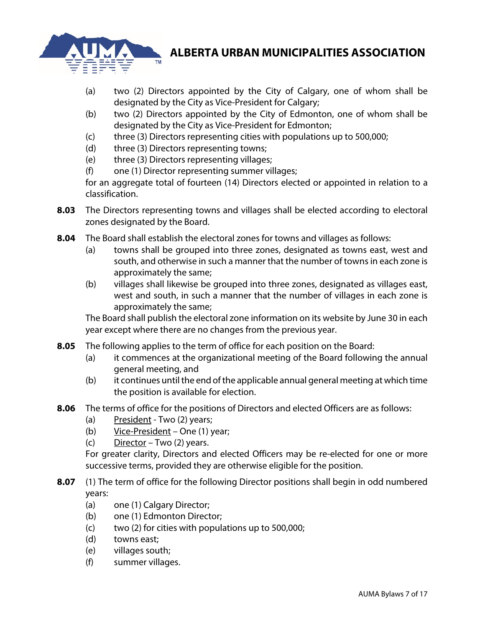

- (a) two (2) Directors appointed by the City of Calgary, one of whom shall be designated by the City as Vice-President for Calgary;
- (b) two (2) Directors appointed by the City of Edmonton, one of whom shall be designated by the City as Vice-President for Edmonton;
- (c) three (3) Directors representing cities with populations up to 500,000;
- (d) three (3) Directors representing towns;
- (e) three (3) Directors representing villages;
- (f) one (1) Director representing summer villages;

for an aggregate total of fourteen (14) Directors elected or appointed in relation to a classification.

- **8.03** The Directors representing towns and villages shall be elected according to electoral zones designated by the Board.
- **8.04** The Board shall establish the electoral zones for towns and villages as follows:
	- (a) towns shall be grouped into three zones, designated as towns east, west and south, and otherwise in such a manner that the number of towns in each zone is approximately the same;
	- (b) villages shall likewise be grouped into three zones, designated as villages east, west and south, in such a manner that the number of villages in each zone is approximately the same;

The Board shall publish the electoral zone information on its website by June 30 in each year except where there are no changes from the previous year.

- **8.05** The following applies to the term of office for each position on the Board:
	- (a) it commences at the organizational meeting of the Board following the annual general meeting, and
	- (b) it continues until the end of the applicable annual general meeting at which time the position is available for election.
- **8.06** The terms of office for the positions of Directors and elected Officers are as follows:
	- (a) President Two  $(2)$  years;
	- (b) Vice-President One (1) year;
	- (c)  $Director Two (2) years.$

For greater clarity, Directors and elected Officers may be re-elected for one or more successive terms, provided they are otherwise eligible for the position.

- **8.07** (1) The term of office for the following Director positions shall begin in odd numbered years:
	- (a) one (1) Calgary Director;
	- (b) one (1) Edmonton Director;
	- $(c)$  two (2) for cities with populations up to 500,000;
	- (d) towns east;
	- (e) villages south;
	- (f) summer villages.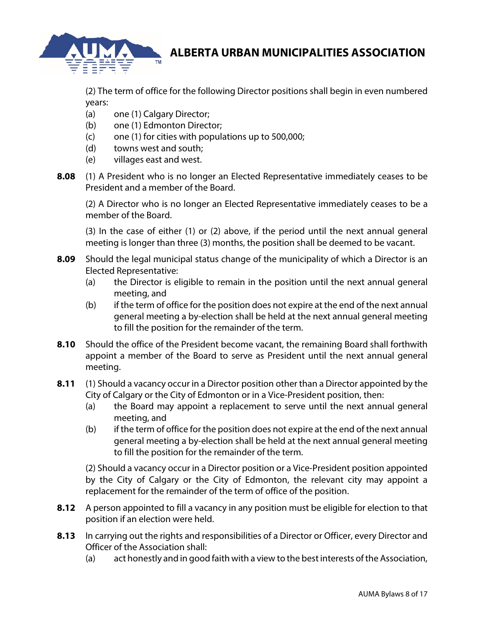

(2) The term of office for the following Director positions shall begin in even numbered years:

- (a) one (1) Calgary Director;
- (b) one (1) Edmonton Director;
- $(c)$  one (1) for cities with populations up to 500,000;
- (d) towns west and south;
- (e) villages east and west.
- **8.08** (1) A President who is no longer an Elected Representative immediately ceases to be President and a member of the Board.

(2) A Director who is no longer an Elected Representative immediately ceases to be a member of the Board.

(3) In the case of either (1) or (2) above, if the period until the next annual general meeting is longer than three (3) months, the position shall be deemed to be vacant.

- **8.09** Should the legal municipal status change of the municipality of which a Director is an Elected Representative:
	- (a) the Director is eligible to remain in the position until the next annual general meeting, and
	- (b) if the term of office for the position does not expire at the end of the next annual general meeting a by-election shall be held at the next annual general meeting to fill the position for the remainder of the term.
- **8.10** Should the office of the President become vacant, the remaining Board shall forthwith appoint a member of the Board to serve as President until the next annual general meeting.
- **8.11** (1) Should a vacancy occur in a Director position other than a Director appointed by the City of Calgary or the City of Edmonton or in a Vice-President position, then:
	- (a) the Board may appoint a replacement to serve until the next annual general meeting, and
	- (b) if the term of office for the position does not expire at the end of the next annual general meeting a by-election shall be held at the next annual general meeting to fill the position for the remainder of the term.

(2) Should a vacancy occur in a Director position or a Vice-President position appointed by the City of Calgary or the City of Edmonton, the relevant city may appoint a replacement for the remainder of the term of office of the position.

- **8.12** A person appointed to fill a vacancy in any position must be eligible for election to that position if an election were held.
- **8.13** In carrying out the rights and responsibilities of a Director or Officer, every Director and Officer of the Association shall:
	- (a) act honestly and in good faith with a view to the best interests of the Association,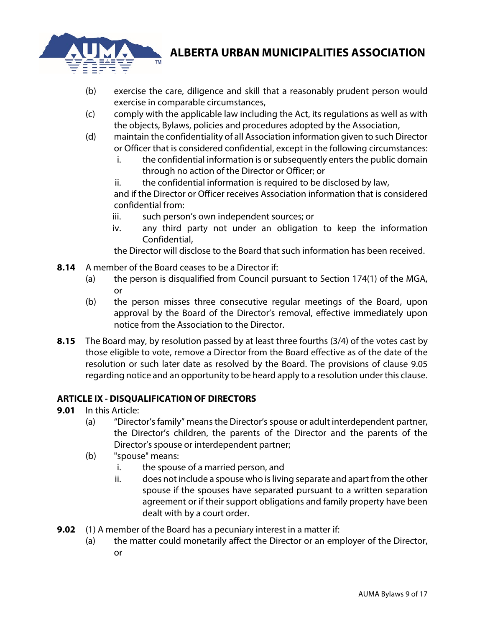

- (b) exercise the care, diligence and skill that a reasonably prudent person would exercise in comparable circumstances,
- (c) comply with the applicable law including the Act, its regulations as well as with the objects, Bylaws, policies and procedures adopted by the Association,
- (d) maintain the confidentiality of all Association information given to such Director or Officer that is considered confidential, except in the following circumstances:
	- i. the confidential information is or subsequently enters the public domain through no action of the Director or Officer; or
	- ii. the confidential information is required to be disclosed by law,

and if the Director or Officer receives Association information that is considered confidential from:

- iii. such person's own independent sources; or
- iv. any third party not under an obligation to keep the information Confidential,

the Director will disclose to the Board that such information has been received.

- **8.14** A member of the Board ceases to be a Director if:
	- (a) the person is disqualified from Council pursuant to Section 174(1) of the MGA, or
	- (b) the person misses three consecutive regular meetings of the Board, upon approval by the Board of the Director's removal, effective immediately upon notice from the Association to the Director.
- **8.15** The Board may, by resolution passed by at least three fourths (3/4) of the votes cast by those eligible to vote, remove a Director from the Board effective as of the date of the resolution or such later date as resolved by the Board. The provisions of clause 9.05 regarding notice and an opportunity to be heard apply to a resolution under this clause.

### **ARTICLE IX - DISQUALIFICATION OF DIRECTORS**

- **9.01** In this Article:
	- (a) "Director's family" meansthe Director'sspouse or adult interdependent partner, the Director's children, the parents of the Director and the parents of the Director's spouse or interdependent partner;
	- (b) "spouse" means:
		- i. the spouse of a married person, and
		- ii. does not include a spouse who is living separate and apart from the other spouse if the spouses have separated pursuant to a written separation agreement or if their support obligations and family property have been dealt with by a court order.
- **9.02** (1) A member of the Board has a pecuniary interest in a matter if:
	- (a) the matter could monetarily affect the Director or an employer of the Director, or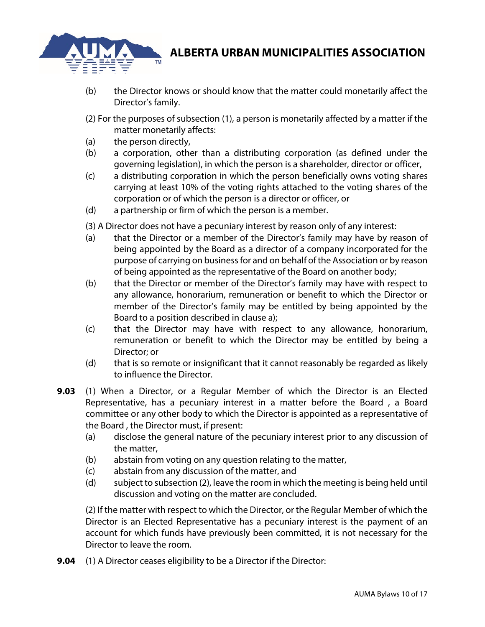

- (b) the Director knows or should know that the matter could monetarily affect the Director's family.
- (2) For the purposes of subsection (1), a person is monetarily affected by a matter if the matter monetarily affects:
- (a) the person directly,
- (b) a corporation, other than a distributing corporation (as defined under the governing legislation), in which the person is a shareholder, director or officer,
- (c) a distributing corporation in which the person beneficially owns voting shares carrying at least 10% of the voting rights attached to the voting shares of the corporation or of which the person is a director or officer, or
- (d) a partnership or firm of which the person is a member.

(3) A Director does not have a pecuniary interest by reason only of any interest:

- (a) that the Director or a member of the Director's family may have by reason of being appointed by the Board as a director of a company incorporated for the purpose of carrying on business for and on behalf of the Association or by reason of being appointed as the representative of the Board on another body;
- (b) that the Director or member of the Director's family may have with respect to any allowance, honorarium, remuneration or benefit to which the Director or member of the Director's family may be entitled by being appointed by the Board to a position described in clause a);
- (c) that the Director may have with respect to any allowance, honorarium, remuneration or benefit to which the Director may be entitled by being a Director; or
- (d) that is so remote or insignificant that it cannot reasonably be regarded as likely to influence the Director.
- **9.03** (1) When a Director, or a Regular Member of which the Director is an Elected Representative, has a pecuniary interest in a matter before the Board , a Board committee or any other body to which the Director is appointed as a representative of the Board , the Director must, if present:
	- (a) disclose the general nature of the pecuniary interest prior to any discussion of the matter,
	- (b) abstain from voting on any question relating to the matter,
	- (c) abstain from any discussion of the matter, and
	- (d) subject to subsection (2), leave the room in which the meeting is being held until discussion and voting on the matter are concluded.

(2) If the matter with respect to which the Director, or the Regular Member of which the Director is an Elected Representative has a pecuniary interest is the payment of an account for which funds have previously been committed, it is not necessary for the Director to leave the room.

**9.04** (1) A Director ceases eligibility to be a Director if the Director: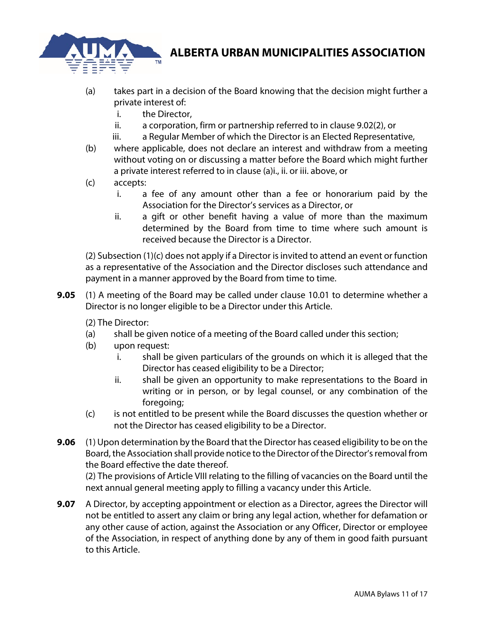

- (a) takes part in a decision of the Board knowing that the decision might further a private interest of:
	- i. the Director,
	- ii. a corporation, firm or partnership referred to in clause 9.02(2), or
	- iii. a Regular Member of which the Director is an Elected Representative,
- (b) where applicable, does not declare an interest and withdraw from a meeting without voting on or discussing a matter before the Board which might further a private interest referred to in clause (a)i., ii. or iii. above, or
- (c) accepts:
	- i. a fee of any amount other than a fee or honorarium paid by the Association for the Director's services as a Director, or
	- ii. a gift or other benefit having a value of more than the maximum determined by the Board from time to time where such amount is received because the Director is a Director.

(2) Subsection (1)(c) does not apply if a Director is invited to attend an event or function as a representative of the Association and the Director discloses such attendance and payment in a manner approved by the Board from time to time.

**9.05** (1) A meeting of the Board may be called under clause 10.01 to determine whether a Director is no longer eligible to be a Director under this Article.

(2) The Director:

- (a) shall be given notice of a meeting of the Board called under this section;
- (b) upon request:
	- i. shall be given particulars of the grounds on which it is alleged that the Director has ceased eligibility to be a Director;
	- ii. shall be given an opportunity to make representations to the Board in writing or in person, or by legal counsel, or any combination of the foregoing;
- (c) is not entitled to be present while the Board discusses the question whether or not the Director has ceased eligibility to be a Director.
- **9.06** (1) Upon determination by the Board that the Director has ceased eligibility to be on the Board, the Association shall provide notice to the Director of the Director's removal from the Board effective the date thereof.

(2) The provisions of Article VIII relating to the filling of vacancies on the Board until the next annual general meeting apply to filling a vacancy under this Article.

**9.07** A Director, by accepting appointment or election as a Director, agrees the Director will not be entitled to assert any claim or bring any legal action, whether for defamation or any other cause of action, against the Association or any Officer, Director or employee of the Association, in respect of anything done by any of them in good faith pursuant to this Article.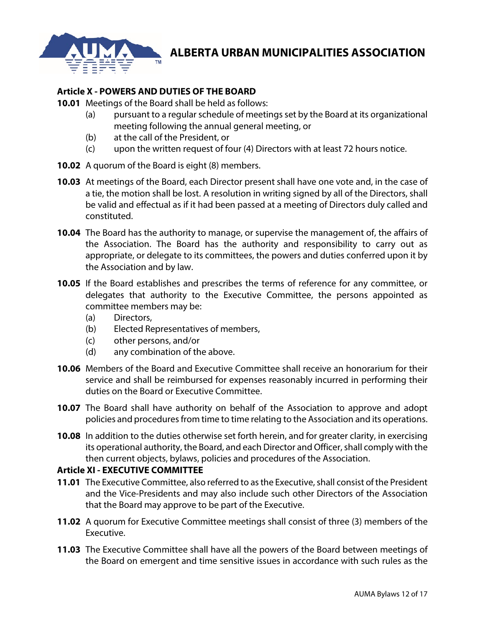

### **Article X - POWERS AND DUTIES OF THE BOARD**

**10.01** Meetings of the Board shall be held as follows:

- (a) pursuant to a regular schedule of meetings set by the Board at its organizational meeting following the annual general meeting, or
- (b) at the call of the President, or
- (c) upon the written request of four (4) Directors with at least 72 hours notice.
- **10.02** A quorum of the Board is eight (8) members.
- **10.03** At meetings of the Board, each Director present shall have one vote and, in the case of a tie, the motion shall be lost. A resolution in writing signed by all of the Directors, shall be valid and effectual as if it had been passed at a meeting of Directors duly called and constituted.
- **10.04** The Board has the authority to manage, or supervise the management of, the affairs of the Association. The Board has the authority and responsibility to carry out as appropriate, or delegate to its committees, the powers and duties conferred upon it by the Association and by law.
- **10.05** If the Board establishes and prescribes the terms of reference for any committee, or delegates that authority to the Executive Committee, the persons appointed as committee members may be:
	- (a) Directors,
	- (b) Elected Representatives of members,
	- (c) other persons, and/or
	- (d) any combination of the above.
- **10.06** Members of the Board and Executive Committee shall receive an honorarium for their service and shall be reimbursed for expenses reasonably incurred in performing their duties on the Board or Executive Committee.
- **10.07** The Board shall have authority on behalf of the Association to approve and adopt policies and procedures from time to time relating to the Association and its operations.
- **10.08** In addition to the duties otherwise set forth herein, and for greater clarity, in exercising its operational authority, the Board, and each Director and Officer, shall comply with the then current objects, bylaws, policies and procedures of the Association.

### **Article XI - EXECUTIVE COMMITTEE**

- **11.01** The Executive Committee, also referred to as the Executive, shall consist of the President and the Vice-Presidents and may also include such other Directors of the Association that the Board may approve to be part of the Executive.
- **11.02** A quorum for Executive Committee meetings shall consist of three (3) members of the Executive.
- **11.03** The Executive Committee shall have all the powers of the Board between meetings of the Board on emergent and time sensitive issues in accordance with such rules as the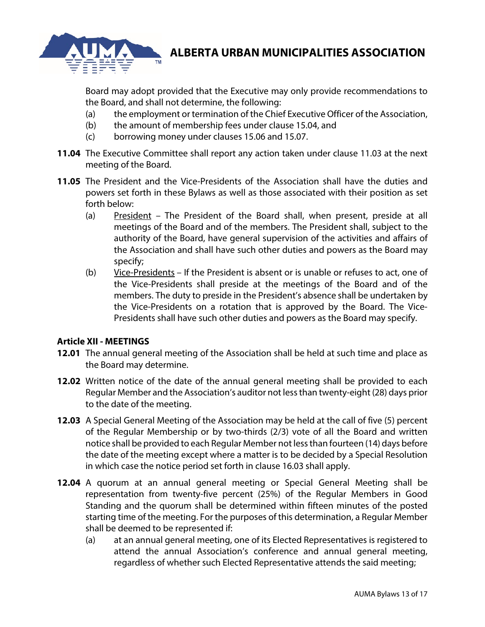

Board may adopt provided that the Executive may only provide recommendations to the Board, and shall not determine, the following:

- (a) the employment or termination of the Chief Executive Officer of the Association,
- (b) the amount of membership fees under clause 15.04, and
- (c) borrowing money under clauses 15.06 and 15.07.
- **11.04** The Executive Committee shall report any action taken under clause 11.03 at the next meeting of the Board.
- **11.05** The President and the Vice-Presidents of the Association shall have the duties and powers set forth in these Bylaws as well as those associated with their position as set forth below:
	- (a) President The President of the Board shall, when present, preside at all meetings of the Board and of the members. The President shall, subject to the authority of the Board, have general supervision of the activities and affairs of the Association and shall have such other duties and powers as the Board may specify;
	- (b) Vice-Presidents If the President is absent or is unable or refuses to act, one of the Vice-Presidents shall preside at the meetings of the Board and of the members. The duty to preside in the President's absence shall be undertaken by the Vice-Presidents on a rotation that is approved by the Board. The Vice-Presidents shall have such other duties and powers as the Board may specify.

### **Article XII - MEETINGS**

- **12.01** The annual general meeting of the Association shall be held at such time and place as the Board may determine.
- **12.02** Written notice of the date of the annual general meeting shall be provided to each Regular Member and the Association's auditor not less than twenty-eight (28) days prior to the date of the meeting.
- **12.03** A Special General Meeting of the Association may be held at the call of five (5) percent of the Regular Membership or by two-thirds (2/3) vote of all the Board and written notice shall be provided to each Regular Member not less than fourteen (14) days before the date of the meeting except where a matter is to be decided by a Special Resolution in which case the notice period set forth in clause 16.03 shall apply.
- **12.04** A quorum at an annual general meeting or Special General Meeting shall be representation from twenty-five percent (25%) of the Regular Members in Good Standing and the quorum shall be determined within fifteen minutes of the posted starting time of the meeting. For the purposes of this determination, a Regular Member shall be deemed to be represented if:
	- (a) at an annual general meeting, one of its Elected Representatives is registered to attend the annual Association's conference and annual general meeting, regardless of whether such Elected Representative attends the said meeting;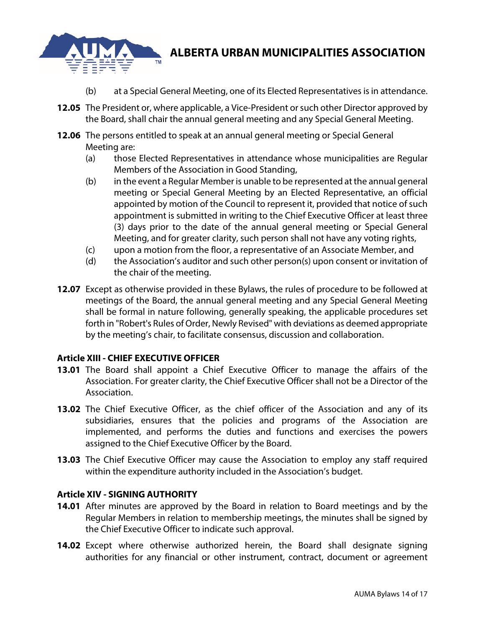

- (b) at a Special General Meeting, one of its Elected Representatives is in attendance.
- **12.05** The President or, where applicable, a Vice-President or such other Director approved by the Board, shall chair the annual general meeting and any Special General Meeting.
- **12.06** The persons entitled to speak at an annual general meeting or Special General Meeting are:
	- (a) those Elected Representatives in attendance whose municipalities are Regular Members of the Association in Good Standing,
	- (b) in the event a Regular Member is unable to be represented at the annual general meeting or Special General Meeting by an Elected Representative, an official appointed by motion of the Council to represent it, provided that notice of such appointment is submitted in writing to the Chief Executive Officer at least three (3) days prior to the date of the annual general meeting or Special General Meeting, and for greater clarity, such person shall not have any voting rights,
	- (c) upon a motion from the floor, a representative of an Associate Member, and
	- (d) the Association's auditor and such other person(s) upon consent or invitation of the chair of the meeting.
- **12.07** Except as otherwise provided in these Bylaws, the rules of procedure to be followed at meetings of the Board, the annual general meeting and any Special General Meeting shall be formal in nature following, generally speaking, the applicable procedures set forth in "Robert's Rules of Order, Newly Revised" with deviations as deemed appropriate by the meeting's chair, to facilitate consensus, discussion and collaboration.

### **Article XIII - CHIEF EXECUTIVE OFFICER**

- **13.01** The Board shall appoint a Chief Executive Officer to manage the affairs of the Association. For greater clarity, the Chief Executive Officer shall not be a Director of the Association.
- **13.02** The Chief Executive Officer, as the chief officer of the Association and any of its subsidiaries, ensures that the policies and programs of the Association are implemented, and performs the duties and functions and exercises the powers assigned to the Chief Executive Officer by the Board.
- **13.03** The Chief Executive Officer may cause the Association to employ any staff required within the expenditure authority included in the Association's budget.

### **Article XIV - SIGNING AUTHORITY**

- **14.01** After minutes are approved by the Board in relation to Board meetings and by the Regular Members in relation to membership meetings, the minutes shall be signed by the Chief Executive Officer to indicate such approval.
- **14.02** Except where otherwise authorized herein, the Board shall designate signing authorities for any financial or other instrument, contract, document or agreement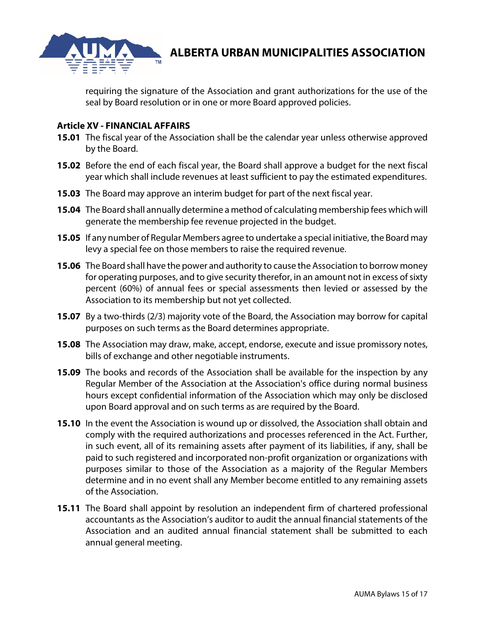

requiring the signature of the Association and grant authorizations for the use of the seal by Board resolution or in one or more Board approved policies.

#### **Article XV - FINANCIAL AFFAIRS**

- **15.01** The fiscal year of the Association shall be the calendar year unless otherwise approved by the Board.
- **15.02** Before the end of each fiscal year, the Board shall approve a budget for the next fiscal year which shall include revenues at least sufficient to pay the estimated expenditures.
- **15.03** The Board may approve an interim budget for part of the next fiscal year.
- **15.04** The Board shall annually determine a method of calculating membership fees which will generate the membership fee revenue projected in the budget.
- **15.05** If any number of Regular Members agree to undertake a special initiative, the Board may levy a special fee on those members to raise the required revenue.
- **15.06** The Board shall have the power and authority to cause the Association to borrow money for operating purposes, and to give security therefor, in an amount not in excess of sixty percent (60%) of annual fees or special assessments then levied or assessed by the Association to its membership but not yet collected.
- **15.07** By a two-thirds (2/3) majority vote of the Board, the Association may borrow for capital purposes on such terms as the Board determines appropriate.
- **15.08** The Association may draw, make, accept, endorse, execute and issue promissory notes, bills of exchange and other negotiable instruments.
- **15.09** The books and records of the Association shall be available for the inspection by any Regular Member of the Association at the Association's office during normal business hours except confidential information of the Association which may only be disclosed upon Board approval and on such terms as are required by the Board.
- **15.10** In the event the Association is wound up or dissolved, the Association shall obtain and comply with the required authorizations and processes referenced in the Act. Further, in such event, all of its remaining assets after payment of its liabilities, if any, shall be paid to such registered and incorporated non-profit organization or organizations with purposes similar to those of the Association as a majority of the Regular Members determine and in no event shall any Member become entitled to any remaining assets of the Association.
- **15.11** The Board shall appoint by resolution an independent firm of chartered professional accountants as the Association's auditor to audit the annual financial statements of the Association and an audited annual financial statement shall be submitted to each annual general meeting.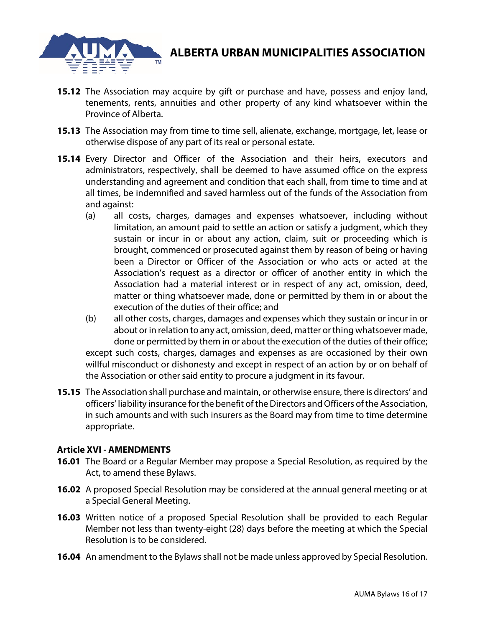

- **15.12** The Association may acquire by gift or purchase and have, possess and enjoy land, tenements, rents, annuities and other property of any kind whatsoever within the Province of Alberta.
- **15.13** The Association may from time to time sell, alienate, exchange, mortgage, let, lease or otherwise dispose of any part of its real or personal estate.
- **15.14** Every Director and Officer of the Association and their heirs, executors and administrators, respectively, shall be deemed to have assumed office on the express understanding and agreement and condition that each shall, from time to time and at all times, be indemnified and saved harmless out of the funds of the Association from and against:
	- (a) all costs, charges, damages and expenses whatsoever, including without limitation, an amount paid to settle an action or satisfy a judgment, which they sustain or incur in or about any action, claim, suit or proceeding which is brought, commenced or prosecuted against them by reason of being or having been a Director or Officer of the Association or who acts or acted at the Association's request as a director or officer of another entity in which the Association had a material interest or in respect of any act, omission, deed, matter or thing whatsoever made, done or permitted by them in or about the execution of the duties of their office; and
	- (b) all other costs, charges, damages and expenses which they sustain or incur in or about or in relation to any act, omission, deed, matter or thing whatsoever made, done or permitted by them in or about the execution of the duties of their office; except such costs, charges, damages and expenses as are occasioned by their own willful misconduct or dishonesty and except in respect of an action by or on behalf of the Association or other said entity to procure a judgment in its favour.
- **15.15** The Association shall purchase and maintain, or otherwise ensure, there is directors' and officers' liability insurance for the benefit of the Directors and Officers of the Association, in such amounts and with such insurers as the Board may from time to time determine appropriate.

### **Article XVI - AMENDMENTS**

- **16.01** The Board or a Regular Member may propose a Special Resolution, as required by the Act, to amend these Bylaws.
- **16.02** A proposed Special Resolution may be considered at the annual general meeting or at a Special General Meeting.
- **16.03** Written notice of a proposed Special Resolution shall be provided to each Regular Member not less than twenty-eight (28) days before the meeting at which the Special Resolution is to be considered.
- **16.04** An amendment to the Bylaws shall not be made unless approved by Special Resolution.